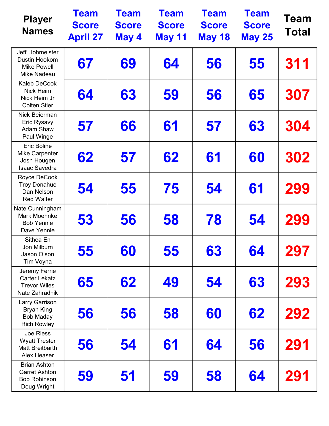| <b>Player</b><br><b>Names</b>                                                      | <b>Team</b><br><b>Score</b><br><b>April 27</b> | <b>Team</b><br><b>Score</b><br>May 4 | <b>Team</b><br><b>Score</b><br><b>May 11</b> | <b>Team</b><br><b>Score</b><br><b>May 18</b> | <b>Team</b><br><b>Score</b><br><b>May 25</b> | <b>Team</b><br><b>Total</b> |
|------------------------------------------------------------------------------------|------------------------------------------------|--------------------------------------|----------------------------------------------|----------------------------------------------|----------------------------------------------|-----------------------------|
| Jeff Hohmeister<br>Dustin Hookom<br><b>Mike Powell</b><br>Mike Nadeau              | 67                                             | 69                                   | 64                                           | 56                                           | 55                                           | 311                         |
| <b>Kaleb DeCook</b><br>Nick Heim<br>Nick Heim Jr<br><b>Colten Stier</b>            | 64                                             | 63                                   | 59                                           | 56                                           | 65                                           | 307                         |
| Nick Beierman<br>Eric Rysavy<br>Adam Shaw<br>Paul Winge                            | 57                                             | 66                                   | 61                                           | 57                                           | 63                                           | 304                         |
| <b>Eric Boline</b><br><b>Mike Carpenter</b><br>Josh Hougen<br><b>Isaac Savedra</b> | 62                                             | 57                                   | 62                                           | 61                                           | 60                                           | 302                         |
| Royce DeCook<br><b>Troy Donahue</b><br>Dan Nelson<br><b>Red Walter</b>             | 54                                             | 55                                   | 75                                           | 54                                           | 61                                           | 299                         |
| Nate Cunningham<br>Mark Moehnke<br><b>Bob Yennie</b><br>Dave Yennie                | 53                                             | 56                                   | 58                                           | 78                                           | 54                                           | 299                         |
| Sithea En<br>Jon Milburn<br>Jason Olson<br>Tim Voyna                               | 55                                             | 60                                   | 55                                           | 63                                           | 64                                           | 297                         |
| Jeremy Ferrie<br><b>Carter Lekatz</b><br><b>Trevor Wiles</b><br>Nate Zahradnik     | 65                                             | 62                                   | 49                                           | 54                                           | 63                                           | 293                         |
| Larry Garrison<br><b>Bryan King</b><br><b>Bob Maday</b><br><b>Rich Rowley</b>      | 56                                             | 56                                   | 58                                           | 60                                           | 62                                           | 292                         |
| Joe Riess<br><b>Wyatt Trester</b><br><b>Matt Breitbarth</b><br>Alex Heaser         | 56                                             | 54                                   | 61                                           | 64                                           | 56                                           | 291                         |
| <b>Brian Ashton</b><br><b>Garret Ashton</b><br><b>Bob Robinson</b><br>Doug Wright  | 59                                             | 51                                   | 59                                           | 58                                           | 64                                           | 291                         |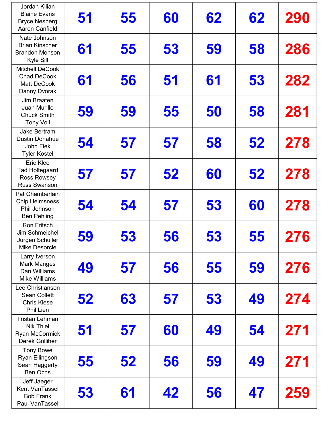| Jordan Kilian<br><b>Blaine Evans</b><br><b>Bryce Nesberg</b><br>Aaron Canfield         | 51 | 55 | 60 | 62 | 62 | 290 |
|----------------------------------------------------------------------------------------|----|----|----|----|----|-----|
| Nate Johnson<br><b>Brian Kinscher</b><br><b>Brandon Monson</b><br>Kyle Sill            | 61 | 55 | 53 | 59 | 58 | 286 |
| <b>Mitchell DeCook</b><br><b>Chad DeCook</b><br><b>Matt DeCook</b><br>Danny Dvorak     | 61 | 56 | 51 | 61 | 53 | 282 |
| Jim Braaten<br>Juan Murillo<br><b>Chuck Smith</b><br><b>Tony Voll</b>                  | 59 | 59 | 55 | 50 | 58 | 281 |
| Jake Bertram<br><b>Dustin Donahue</b><br>John Fiek<br><b>Tyler Kostel</b>              | 54 | 57 | 57 | 58 | 52 | 278 |
| <b>Eric Klee</b><br><b>Tad Holtegaard</b><br><b>Ross Rowsey</b><br><b>Russ Swanson</b> | 57 | 57 | 52 | 60 | 52 | 278 |
| Pat Chamberlain<br><b>Chip Heimsness</b><br>Phil Johnson<br><b>Ben Pehling</b>         | 54 | 54 | 57 | 53 | 60 | 278 |
| Ron Fritsch<br><b>Jim Schmeichel</b><br>Jurgen Schuller<br><b>Mike Desorcie</b>        | 59 | 53 | 56 | 53 | 55 | 276 |
| Larry Iverson<br><b>Mark Manges</b><br>Dan Williams<br><b>Mike Williams</b>            | 49 | 57 | 56 | 55 | 59 | 276 |
| Lee Christianson<br><b>Sean Collett</b><br><b>Chris Kiese</b><br>Phil Lien             | 52 | 63 | 57 | 53 | 49 | 274 |
| <b>Tristan Lehman</b><br><b>Nik Thiel</b><br>Ryan McCormick<br><b>Derek Golliher</b>   | 51 | 57 | 60 | 49 | 54 | 271 |
| <b>Tony Bowe</b><br>Ryan Ellingson<br>Sean Haggerty<br><b>Ben Ochs</b>                 | 55 | 52 | 56 | 59 | 49 | 271 |
| Jeff Jaeger<br>Kent VanTassel<br><b>Bob Frank</b><br>Paul VanTassel                    | 53 | 61 | 42 | 56 | 47 | 259 |